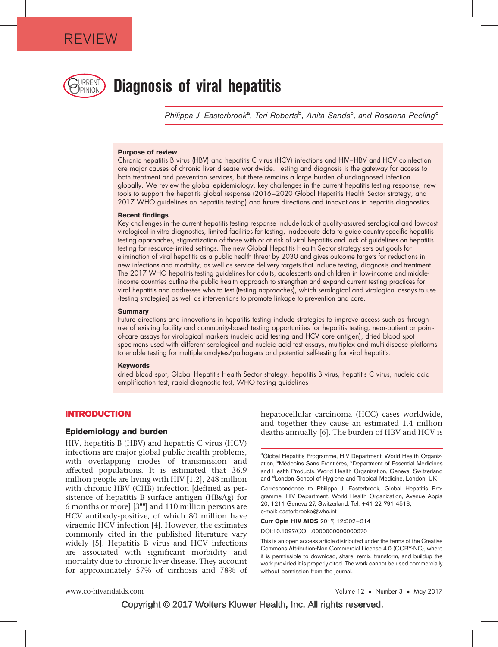

# Diagnosis of viral hepatitis

Philippa J. Easterbrook<sup>a</sup>, Teri Roberts<sup>b</sup>, Anita Sands<sup>c</sup>, and Rosanna Peeling<sup>d</sup>

#### Purpose of review

Chronic hepatitis B virus (HBV) and hepatitis C virus (HCV) infections and HIV–HBV and HCV coinfection are major causes of chronic liver disease worldwide. Testing and diagnosis is the gateway for access to both treatment and prevention services, but there remains a large burden of undiagnosed infection globally. We review the global epidemiology, key challenges in the current hepatitis testing response, new tools to support the hepatitis global response (2016–2020 Global Hepatitis Health Sector strategy, and 2017 WHO guidelines on hepatitis testing) and future directions and innovations in hepatitis diagnostics.

#### Recent findings

Key challenges in the current hepatitis testing response include lack of quality-assured serological and low-cost virological in-vitro diagnostics, limited facilities for testing, inadequate data to guide country-specific hepatitis testing approaches, stigmatization of those with or at risk of viral hepatitis and lack of guidelines on hepatitis testing for resource-limited settings. The new Global Hepatitis Health Sector strategy sets out goals for elimination of viral hepatitis as a public health threat by 2030 and gives outcome targets for reductions in new infections and mortality, as well as service delivery targets that include testing, diagnosis and treatment. The 2017 WHO hepatitis testing guidelines for adults, adolescents and children in low-income and middleincome countries outline the public health approach to strengthen and expand current testing practices for viral hepatitis and addresses who to test (testing approaches), which serological and virological assays to use (testing strategies) as well as interventions to promote linkage to prevention and care.

#### **Summary**

Future directions and innovations in hepatitis testing include strategies to improve access such as through use of existing facility and community-based testing opportunities for hepatitis testing, near-patient or pointof-care assays for virological markers (nucleic acid testing and HCV core antigen), dried blood spot specimens used with different serological and nucleic acid test assays, multiplex and multi-disease platforms to enable testing for multiple analytes/pathogens and potential self-testing for viral hepatitis.

#### Keywords

dried blood spot, Global Hepatitis Health Sector strategy, hepatitis B virus, hepatitis C virus, nucleic acid amplification test, rapid diagnostic test, WHO testing guidelines

#### INTRODUCTION

#### Epidemiology and burden

HIV, hepatitis B (HBV) and hepatitis C virus (HCV) infections are major global public health problems, with overlapping modes of transmission and affected populations. It is estimated that 36.9 million people are living with HIV [\[1,2\],](#page-10-0) 248 million with chronic HBV (CHB) infection [defined as persistence of hepatitis B surface antigen (HBsAg) for 6 months or more[\]](#page-11-0)  $[3"']$  $[3"']$  and 110 million persons are HCV antibody-positive, of which 80 million have viraemic HCV infection [\[4\]](#page-11-0). However, the estimates commonly cited in the published literature vary widely [\[5\].](#page-11-0) Hepatitis B virus and HCV infections are associated with significant morbidity and mortality due to chronic liver disease. They account for approximately 57% of cirrhosis and 78% of hepatocellular carcinoma (HCC) cases worldwide, and together they cause an estimated 1.4 million deaths annually [\[6\].](#page-11-0) The burden of HBV and HCV is

Correspondence to Philippa J. Easterbrook, Global Hepatitis Programme, HIV Department, World Health Organization, Avenue Appia 20, 1211 Geneva 27, Switzerland. Tel: +41 22 791 4518; e-mail: [easterbrookp@who.int](mailto:easterbrookp@who.int)

Curr Opin HIV AIDS 2017, 12:302–314

DOI:10.1097/COH.0000000000000370

www.co-hivandaids.com

• Number 3 • May 2017

aGlobal Hepatitis Programme, HIV Department, World Health Organization, <sup>b</sup>Médecins Sans Frontières, <sup>c</sup>Department of Essential Medicines and Health Products, World Health Organization, Geneva, Switzerland and <sup>d</sup>London School of Hygiene and Tropical Medicine, London, UK

This is an open access article distributed under the terms of the Creative Commons Attribution-Non Commercial License 4.0 (CCBY-NC), where it is permissible to download, share, remix, transform, and buildup the work provided it is properly cited. The work cannot be used commercially without permission from the journal.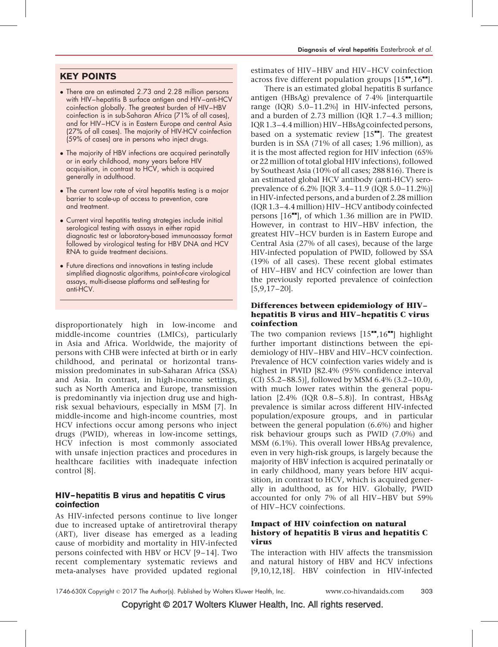## KEY POINTS

- There are an estimated 2.73 and 2.28 million persons with HIV–hepatitis B surface antigen and HIV–anti-HCV coinfection globally. The greatest burden of HIV–HBV coinfection is in sub-Saharan Africa (71% of all cases), and for HIV–HCV is in Eastern Europe and central Asia (27% of all cases). The majority of HIV-HCV coinfection (59% of cases) are in persons who inject drugs.
- The majority of HBV infections are acquired perinatally or in early childhood, many years before HIV acquisition, in contrast to HCV, which is acquired generally in adulthood.
- The current low rate of viral hepatitis testing is a major barrier to scale-up of access to prevention, care and treatment.
- Current viral hepatitis testing strategies include initial serological testing with assays in either rapid diagnostic test or laboratory-based immunoassay format followed by virological testing for HBV DNA and HCV RNA to guide treatment decisions.
- Future directions and innovations in testing include simplified diagnostic algorithms, point-of-care virological assays, multi-disease platforms and self-testing for anti-HCV.

disproportionately high in low-income and middle-income countries (LMICs), particularly in Asia and Africa. Worldwide, the majority of persons with CHB were infected at birth or in early childhood, and perinatal or horizontal transmission predominates in sub-Saharan Africa (SSA) and Asia. In contrast, in high-income settings, such as North America and Europe, transmission is predominantly via injection drug use and highrisk sexual behaviours, especially in MSM [\[7\]](#page-11-0). In middle-income and high-income countries, most HCV infections occur among persons who inject drugs (PWID), whereas in low-income settings, HCV infection is most commonly associated with unsafe injection practices and procedures in healthcare facilities with inadequate infection control [\[8\]](#page-11-0).

#### HIV–hepatitis B virus and hepatitis C virus coinfection

As HIV-infected persons continue to live longer due to increased uptake of antiretroviral therapy (ART), liver disease has emerged as a leading cause of morbidity and mortality in HIV-infected persons coinfected with HBV or HCV [\[9–14\]](#page-11-0). Two recent complementary systematic reviews and meta-analyses have provided updated regional

estimates of HIV–HBV and HIV–HCV coinfection across five different population groups  $[15"$  $[15"$ [,16](#page-11-0)<sup> $\text{m}$ </sup>.

There is an estimated global hepatitis B surfance antigen (HBsAg) prevalence of 74% [interquartile range (IQR) 5.0–11.2%] in HIV-infected persons, and a burden of 2.73 million (IQR 1.7–4.3 million; IQR 1.3–4.4million) HIV–HBsAg coinfected persons, based on a systematic review  $[15$ <sup> $\bullet$  $]$ </sup>. The greatest burden is in SSA (71% of all cases; 1.96 million), as it is the most affected region for HIV infection (65% or 22 million of total global HIV infections), followed by Southeast Asia (10% of all cases; 288 816). There is an estimated global HCV antibody (anti-HCV) seroprevalence of 6.2% [IQR 3.4–11.9 (IQR 5.0–11.2%)] in HIV-infected persons, and a burden of 2.28 million (IQR 1.3–4.4 million) HIV–HCV antibody coinfected persons  $[16$ <sup> $H$ </sup>, of which 1.36 million are in PWID. However, in contrast to HIV–HBV infection, the greatest HIV–HCV burden is in Eastern Europe and Central Asia (27% of all cases), because of the large HIV-infected population of PWID, followed by SSA (19% of all cases). These recent global estimates of HIV–HBV and HCV coinfection are lower than the previously reported prevalence of coinfection [\[5,9,17–20\].](#page-11-0)

#### Differences between epidemiology of HIV– hepatitis B virus and HIV–hepatitis C virus coinfection

The two companion reviews  $[15$ <sup> $\cdot$ </sup>[,16](#page-11-0) $\cdot$ <sup>\*</sup>[\]](#page-11-0) highlight further important distinctions between the epidemiology of HIV–HBV and HIV–HCV coinfection. Prevalence of HCV coinfection varies widely and is highest in PWID [82.4% (95% confidence interval (CI) 55.2–88.5)], followed by MSM 6.4% (3.2–10.0), with much lower rates within the general population [2.4% (IQR 0.8–5.8)]. In contrast, HBsAg prevalence is similar across different HIV-infected population/exposure groups, and in particular between the general population (6.6%) and higher risk behaviour groups such as PWID (7.0%) and MSM (6.1%). This overall lower HBsAg prevalence, even in very high-risk groups, is largely because the majority of HBV infection is acquired perinatally or in early childhood, many years before HIV acquisition, in contrast to HCV, which is acquired generally in adulthood, as for HIV. Globally, PWID accounted for only 7% of all HIV–HBV but 59% of HIV–HCV coinfections.

#### Impact of HIV coinfection on natural history of hepatitis B virus and hepatitis C virus

The interaction with HIV affects the transmission and natural history of HBV and HCV infections [\[9,10,12,18\]](#page-11-0). HBV coinfection in HIV-infected

Copyright © 2017 Wolters Kluwer Health, Inc. All rights reserved.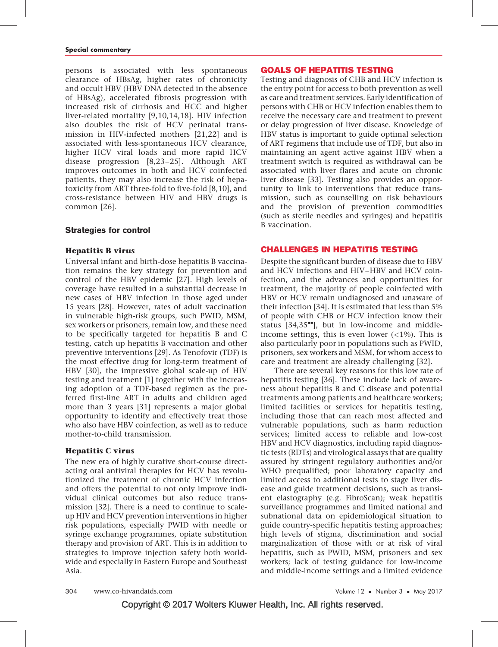persons is associated with less spontaneous clearance of HBsAg, higher rates of chronicity and occult HBV (HBV DNA detected in the absence of HBsAg), accelerated fibrosis progression with increased risk of cirrhosis and HCC and higher liver-related mortality [\[9,10,14,18\].](#page-11-0) HIV infection also doubles the risk of HCV perinatal transmission in HIV-infected mothers [\[21,22\]](#page-11-0) and is associated with less-spontaneous HCV clearance, higher HCV viral loads and more rapid HCV disease progression [\[8,23–25\]](#page-11-0). Although ART improves outcomes in both and HCV coinfected patients, they may also increase the risk of hepatoxicity from ART three-fold to five-fold [\[8,10\],](#page-11-0) and cross-resistance between HIV and HBV drugs is common [\[26\].](#page-11-0)

#### Strategies for control

#### Hepatitis B virus

Universal infant and birth-dose hepatitis B vaccination remains the key strategy for prevention and control of the HBV epidemic [\[27\].](#page-11-0) High levels of coverage have resulted in a substantial decrease in new cases of HBV infection in those aged under 15 years [\[28\]](#page-11-0). However, rates of adult vaccination in vulnerable high-risk groups, such PWID, MSM, sex workers or prisoners, remain low, and these need to be specifically targeted for hepatitis B and C testing, catch up hepatitis B vaccination and other preventive interventions [\[29\]](#page-11-0). As Tenofovir (TDF) is the most effective drug for long-term treatment of HBV [\[30\],](#page-11-0) the impressive global scale-up of HIV testing and treatment [\[1\]](#page-10-0) together with the increasing adoption of a TDF-based regimen as the preferred first-line ART in adults and children aged more than 3 years [\[31\]](#page-11-0) represents a major global opportunity to identify and effectively treat those who also have HBV coinfection, as well as to reduce mother-to-child transmission.

#### Hepatitis C virus

The new era of highly curative short-course directacting oral antiviral therapies for HCV has revolutionized the treatment of chronic HCV infection and offers the potential to not only improve individual clinical outcomes but also reduce transmission [\[32\].](#page-11-0) There is a need to continue to scaleup HIV and HCV prevention interventions in higher risk populations, especially PWID with needle or syringe exchange programmes, opiate substitution therapy and provision of ART. This is in addition to strategies to improve injection safety both worldwide and especially in Eastern Europe and Southeast Asia.

#### GOALS OF HEPATITIS TESTING

Testing and diagnosis of CHB and HCV infection is the entry point for access to both prevention as well as care and treatment services. Early identification of persons with CHB or HCV infection enables them to receive the necessary care and treatment to prevent or delay progression of liver disease. Knowledge of HBV status is important to guide optimal selection of ART regimens that include use of TDF, but also in maintaining an agent active against HBV when a treatment switch is required as withdrawal can be associated with liver flares and acute on chronic liver disease [\[33\].](#page-11-0) Testing also provides an opportunity to link to interventions that reduce transmission, such as counselling on risk behaviours and the provision of prevention commodities (such as sterile needles and syringes) and hepatitis B vaccination.

#### CHALLENGES IN HEPATITIS TESTING

Despite the significant burden of disease due to HBV and HCV infections and HIV–HBV and HCV coinfection, and the advances and opportunities for treatment, the majority of people coinfected with HBV or HCV remain undiagnosed and unaware of their infection [\[34\]](#page-11-0). It is estimated that less than 5% of people with CHB or HCV infection know their status  $[34,35$ <sup> $\blacksquare$ </sup>, but in low-income and middleincome settings, this is even lower  $\left($  < 1%). This is also particularly poor in populations such as PWID, prisoners, sex workers and MSM, for whom access to care and treatment are already challenging [\[32\].](#page-11-0)

There are several key reasons for this low rate of hepatitis testing [\[36\]](#page-11-0). These include lack of awareness about hepatitis B and C disease and potential treatments among patients and healthcare workers; limited facilities or services for hepatitis testing, including those that can reach most affected and vulnerable populations, such as harm reduction services; limited access to reliable and low-cost HBV and HCV diagnostics, including rapid diagnostic tests (RDTs) and virological assays that are quality assured by stringent regulatory authorities and/or WHO prequalified; poor laboratory capacity and limited access to additional tests to stage liver disease and guide treatment decisions, such as transient elastography (e.g. FibroScan); weak hepatitis surveillance programmes and limited national and subnational data on epidemiological situation to guide country-specific hepatitis testing approaches; high levels of stigma, discrimination and social marginalization of those with or at risk of viral hepatitis, such as PWID, MSM, prisoners and sex workers; lack of testing guidance for low-income and middle-income settings and a limited evidence

<sup>304</sup> www.co-hivandaids.com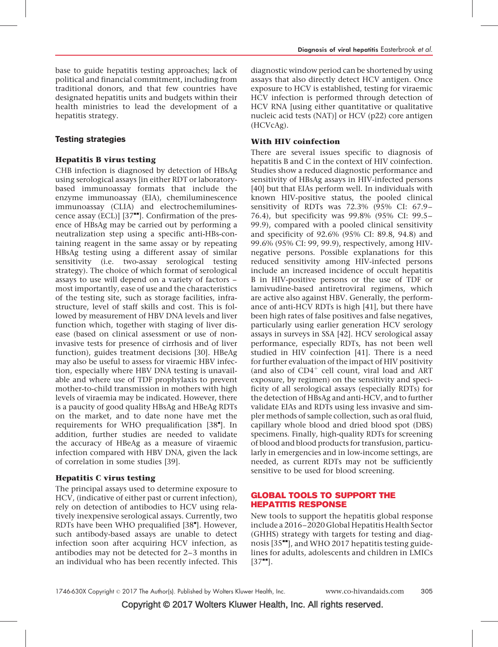base to guide hepatitis testing approaches; lack of political and financial commitment, including from traditional donors, and that few countries have designated hepatitis units and budgets within their health ministries to lead the development of a hepatitis strategy.

## Testing strategies

#### Hepatitis B virus testing

CHB infection is diagnosed by detection of HBsAg using serological assays [in either RDT or laboratorybased immunoassay formats that include the enzyme immunoassay (EIA), chemiluminescence immunoassay (CLIA) and electrochemilumines-cence assay (ECL)[\]](#page-11-0)  $[37$ <sup> $\bullet$  $\bullet$ </sup>]. Confirmation of the presence of HBsAg may be carried out by performing a neutralization step using a specific anti-HBs-containing reagent in the same assay or by repeating HBsAg testing using a different assay of similar sensitivity (i.e. two-assay serological testing strategy). The choice of which format of serological assays to use will depend on a variety of factors – most importantly, ease of use and the characteristics of the testing site, such as storage facilities, infrastructure, level of staff skills and cost. This is followed by measurement of HBV DNA levels and liver function which, together with staging of liver disease (based on clinical assessment or use of noninvasive tests for presence of cirrhosis and of liver function), guides treatment decisions [\[30\]](#page-11-0). HBeAg may also be useful to assess for viraemic HBV infection, especially where HBV DNA testing is unavailable and where use of TDF prophylaxis to prevent mother-to-child transmission in mothers with high levels of viraemia may be indicated. However, there is a paucity of good quality HBsAg and HBeAg RDTs on the market, and to date none have met the requirements for WHO prequalification [\[38](#page-11-0)"[\]](#page-11-0). In addition, further studies are needed to validate the accuracy of HBeAg as a measure of viraemic infection compared with HBV DNA, given the lack of correlation in some studies [\[39\]](#page-11-0).

## Hepatitis C virus testing

The principal assays used to determine exposure to HCV, (indicative of either past or current infection), rely on detection of antibodies to HCV using relatively inexpensive serological assays. Currently, two RDTs have been WHO prequalified [\[38](#page-11-0)"[\].](#page-11-0) However, such antibody-based assays are unable to detect infection soon after acquiring HCV infection, as antibodies may not be detected for 2–3 months in an individual who has been recently infected. This

diagnostic window period can be shortened by using assays that also directly detect HCV antigen. Once exposure to HCV is established, testing for viraemic HCV infection is performed through detection of HCV RNA [using either quantitative or qualitative nucleic acid tests (NAT)] or HCV (p22) core antigen (HCVcAg).

#### With HIV coinfection

There are several issues specific to diagnosis of hepatitis B and C in the context of HIV coinfection. Studies show a reduced diagnostic performance and sensitivity of HBsAg assays in HIV-infected persons [\[40\]](#page-11-0) but that EIAs perform well. In individuals with known HIV-positive status, the pooled clinical sensitivity of RDTs was 72.3% (95% CI: 67.9– 76.4), but specificity was 99.8% (95% CI: 99.5– 99.9), compared with a pooled clinical sensitivity and specificity of 92.6% (95% CI: 89.8, 94.8) and 99.6% (95% CI: 99, 99.9), respectively, among HIVnegative persons. Possible explanations for this reduced sensitivity among HIV-infected persons include an increased incidence of occult hepatitis B in HIV-positive persons or the use of TDF or lamivudine-based antiretroviral regimens, which are active also against HBV. Generally, the performance of anti-HCV RDTs is high [\[41\],](#page-11-0) but there have been high rates of false positives and false negatives, particularly using earlier generation HCV serology assays in surveys in SSA [\[42\]](#page-11-0). HCV serological assay performance, especially RDTs, has not been well studied in HIV coinfection [\[41\]](#page-11-0). There is a need for further evaluation of the impact of HIV positivity (and also of  $CD4^+$  cell count, viral load and ART exposure, by regimen) on the sensitivity and specificity of all serological assays (especially RDTs) for the detection of HBsAg and anti-HCV, and to further validate EIAs and RDTs using less invasive and simpler methods of sample collection, such as oral fluid, capillary whole blood and dried blood spot (DBS) specimens. Finally, high-quality RDTs for screening of blood and blood products for transfusion, particularly in emergencies and in low-income settings, are needed, as current RDTs may not be sufficiently sensitive to be used for blood screening.

#### GLOBAL TOOLS TO SUPPORT THE HEPATITIS RESPONSE

New tools to support the hepatitis global response include a 2016–2020 Global Hepatitis Health Sector (GHHS) strategy with targets for testing and diagnosis  $[35$ <sup> $\text{m}$ </sup>[\]](#page-11-0), and WHO 2017 hepatitis testing guidelines for adults, adolescents and children in LMICs  $[37$   $]$ .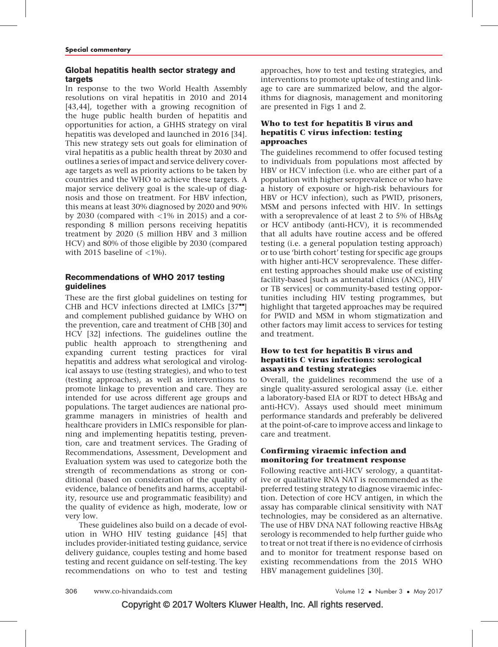#### Global hepatitis health sector strategy and targets

In response to the two World Health Assembly resolutions on viral hepatitis in 2010 and 2014 [\[43,44\]](#page-11-0), together with a growing recognition of the huge public health burden of hepatitis and opportunities for action, a GHHS strategy on viral hepatitis was developed and launched in 2016 [\[34\].](#page-11-0) This new strategy sets out goals for elimination of viral hepatitis as a public health threat by 2030 and outlines a series of impact and service delivery coverage targets as well as priority actions to be taken by countries and the WHO to achieve these targets. A major service delivery goal is the scale-up of diagnosis and those on treatment. For HBV infection, this means at least 30% diagnosed by 2020 and 90% by 2030 (compared with  $\langle 1\%$  in 2015) and a corresponding 8 million persons receiving hepatitis treatment by 2020 (5 million HBV and 3 million HCV) and 80% of those eligible by 2030 (compared with 2015 baseline of  $\langle 1\% \rangle$ .

#### Recommendations of WHO 2017 testing guidelines

These are the first global guidelines on testing for CHB and HCV infections directed at LMICs  $[37$ <sup> $H$ </sup>[\]](#page-11-0) and complement published guidance by WHO on the prevention, care and treatment of CHB [\[30\]](#page-11-0) and HCV [\[32\]](#page-11-0) infections. The guidelines outline the public health approach to strengthening and expanding current testing practices for viral hepatitis and address what serological and virological assays to use (testing strategies), and who to test (testing approaches), as well as interventions to promote linkage to prevention and care. They are intended for use across different age groups and populations. The target audiences are national programme managers in ministries of health and healthcare providers in LMICs responsible for planning and implementing hepatitis testing, prevention, care and treatment services. The Grading of Recommendations, Assessment, Development and Evaluation system was used to categorize both the strength of recommendations as strong or conditional (based on consideration of the quality of evidence, balance of benefits and harms, acceptability, resource use and programmatic feasibility) and the quality of evidence as high, moderate, low or very low.

These guidelines also build on a decade of evolution in WHO HIV testing guidance [\[45\]](#page-11-0) that includes provider-initiated testing guidance, service delivery guidance, couples testing and home based testing and recent guidance on self-testing. The key recommendations on who to test and testing

approaches, how to test and testing strategies, and interventions to promote uptake of testing and linkage to care are summarized below, and the algorithms for diagnosis, management and monitoring are presented in Figs 1 and 2.

## Who to test for hepatitis B virus and hepatitis C virus infection: testing approaches

The guidelines recommend to offer focused testing to individuals from populations most affected by HBV or HCV infection (i.e. who are either part of a population with higher seroprevalence or who have a history of exposure or high-risk behaviours for HBV or HCV infection), such as PWID, prisoners, MSM and persons infected with HIV. In settings with a seroprevalence of at least 2 to 5% of HBsAg or HCV antibody (anti-HCV), it is recommended that all adults have routine access and be offered testing (i.e. a general population testing approach) or to use 'birth cohort' testing for specific age groups with higher anti-HCV seroprevalence. These different testing approaches should make use of existing facility-based [such as antenatal clinics (ANC), HIV or TB services] or community-based testing opportunities including HIV testing programmes, but highlight that targeted approaches may be required for PWID and MSM in whom stigmatization and other factors may limit access to services for testing and treatment.

#### How to test for hepatitis B virus and hepatitis C virus infections: serological assays and testing strategies

Overall, the guidelines recommend the use of a single quality-assured serological assay (i.e. either a laboratory-based EIA or RDT to detect HBsAg and anti-HCV). Assays used should meet minimum performance standards and preferably be delivered at the point-of-care to improve access and linkage to care and treatment.

#### Confirming viraemic infection and monitoring for treatment response

Following reactive anti-HCV serology, a quantitative or qualitative RNA NAT is recommended as the preferred testing strategy to diagnose viraemic infection. Detection of core HCV antigen, in which the assay has comparable clinical sensitivity with NAT technologies, may be considered as an alternative. The use of HBV DNA NAT following reactive HBsAg serology is recommended to help further guide who to treat or not treat if there is no evidence of cirrhosis and to monitor for treatment response based on existing recommendations from the 2015 WHO HBV management guidelines [\[30\]](#page-11-0).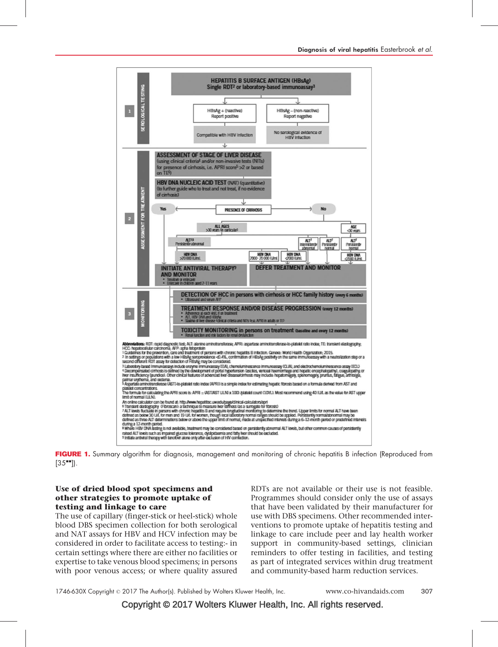

FIGURE 1. Summary algorithm for diagnosis, management and monitoring of chronic hepatitis B infection (Reproduced from  $[35 - 1]$  $[35 - 1]$ .

#### Use of dried blood spot specimens and other strategies to promote uptake of testing and linkage to care

The use of capillary (finger-stick or heel-stick) whole blood DBS specimen collection for both serological and NAT assays for HBV and HCV infection may be considered in order to facilitate access to testing:- in certain settings where there are either no facilities or expertise to take venous blood specimens; in persons with poor venous access; or where quality assured

RDTs are not available or their use is not feasible. Programmes should consider only the use of assays that have been validated by their manufacturer for use with DBS specimens. Other recommended interventions to promote uptake of hepatitis testing and linkage to care include peer and lay health worker support in community-based settings, clinician reminders to offer testing in facilities, and testing as part of integrated services within drug treatment and community-based harm reduction services.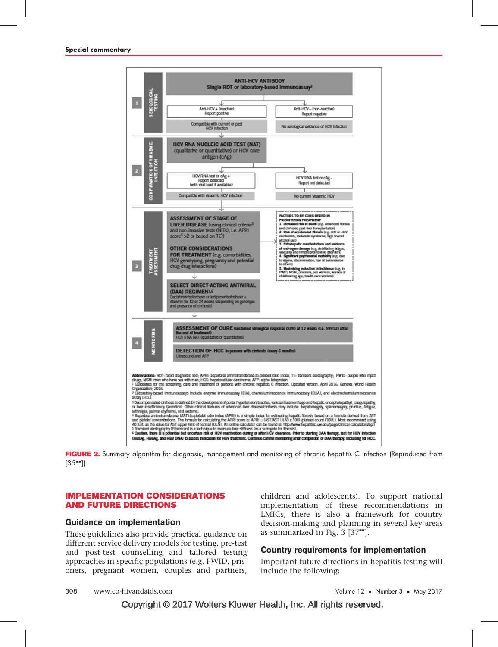

FIGURE 2. Summary algorithm for diagnosis, management and monitoring of chronic hepatitis C infection (Reproduced from  $[35$   $]$ ).

#### IMPLEMENTATION CONSIDERATIONS AND FUTURE DIRECTIONS

#### Guidance on implementation

These guidelines also provide practical guidance on different service delivery models for testing, pre-test and post-test counselling and tailored testing approaches in specific populations (e.g. PWID, prisoners, pregnant women, couples and partners,

children and adolescents). To support national implementation of these recommendations in LMICs, there is also a framework for country decision-making and planning in several key areas as summarized in Fig. 3  $[37$ <sup> $\text{m}$ </sup>[\].](#page-11-0)

#### Country requirements for implementation

Important future directions in hepatitis testing will include the following: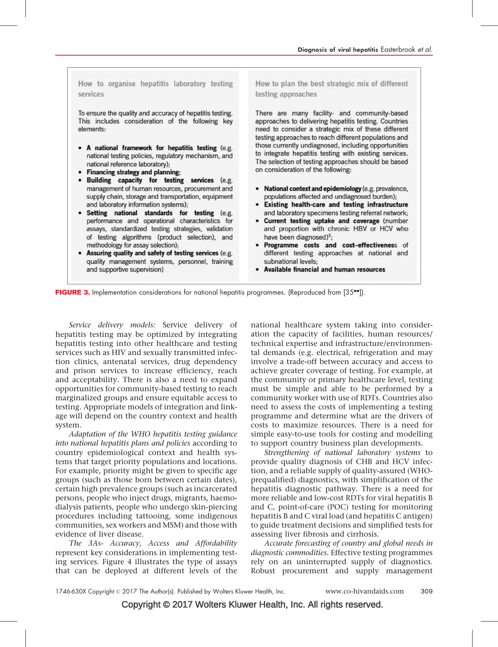How to organise hepatitis laboratory testing services

To ensure the quality and accuracy of hepatitis testing. This includes consideration of the following key elements:

- . A national framework for hepatitis testing (e.g. national testing policies, regulatory mechanism, and national reference laboratory);
- Financing strategy and planning;
- · Building capacity for testing services (e.g. management of human resources, procurement and supply chain, storage and transportation, equipment and laboratory information systems);
- · Setting national standards for testing (e.g. performance and operational characteristics for assays, standardized testing strategies, validation of testing algorithms (product selection), and methodology for assay selection);
- Assuring quality and safety of testing services (e.g. quality management systems, personnel, training and supportive supervision)

How to plan the best strategic mix of different testing approaches

There are many facility- and community-based approaches to delivering hepatitis testing. Countries need to consider a strategic mix of these different testing approaches to reach different populations and those currently undiagnosed, including opportunities to integrate hepatitis testing with existing services. The selection of testing approaches should be based on consideration of the following:

- National context and epidemiology (e.g. prevalence, populations affected and undiagnosed burden);
- Existing health-care and testing infrastructure and laboratory specimens testing referral network;
- . Current testing uptake and coverage (number and proportion with chronic HBV or HCV who have been diagnosed)<sup>3</sup>;
- · Programme costs and cost-effectiveness of different testing approaches at national and subnational levels;
- Available financial and human resources

FIGURE 3. Implementation considerations for national hepatitis programmes. (Reproduced from [\[35](#page-11-0)<sup>om</sup>[\]](#page-11-0)).

Service delivery models: Service delivery of hepatitis testing may be optimized by integrating hepatitis testing into other healthcare and testing services such as HIV and sexually transmitted infection clinics, antenatal services, drug dependency and prison services to increase efficiency, reach and acceptability. There is also a need to expand opportunities for community-based testing to reach marginalized groups and ensure equitable access to testing. Appropriate models of integration and linkage will depend on the country context and health system.

Adaptation of the WHO hepatitis testing guidance into national hepatitis plans and policies according to country epidemiological context and health systems that target priority populations and locations. For example, priority might be given to specific age groups (such as those born between certain dates), certain high prevalence groups (such as incarcerated persons, people who inject drugs, migrants, haemodialysis patients, people who undergo skin-piercing procedures including tattooing, some indigenous communities, sex workers and MSM) and those with evidence of liver disease.

The 3As- Accuracy, Access and Affordability represent key considerations in implementing testing services. Figure 4 illustrates the type of assays that can be deployed at different levels of the national healthcare system taking into consideration the capacity of facilities, human resources/ technical expertise and infrastructure/environmental demands (e.g. electrical, refrigeration and may involve a trade-off between accuracy and access to achieve greater coverage of testing. For example, at the community or primary healthcare level, testing must be simple and able to be performed by a community worker with use of RDTs. Countries also need to assess the costs of implementing a testing programme and determine what are the drivers of costs to maximize resources. There is a need for simple easy-to-use tools for costing and modelling to support country business plan developments.

Strengthening of national laboratory systems to provide quality diagnosis of CHB and HCV infection, and a reliable supply of quality-assured (WHOprequalified) diagnostics, with simplification of the hepatitis diagnostic pathway. There is a need for more reliable and low-cost RDTs for viral hepatitis B and C, point-of-care (POC) testing for monitoring hepatitis B and C viral load (and hepatitis C antigen) to guide treatment decisions and simplified tests for assessing liver fibrosis and cirrhosis.

Accurate forecasting of country and global needs in diagnostic commodities. Effective testing programmes rely on an uninterrupted supply of diagnostics. Robust procurement and supply management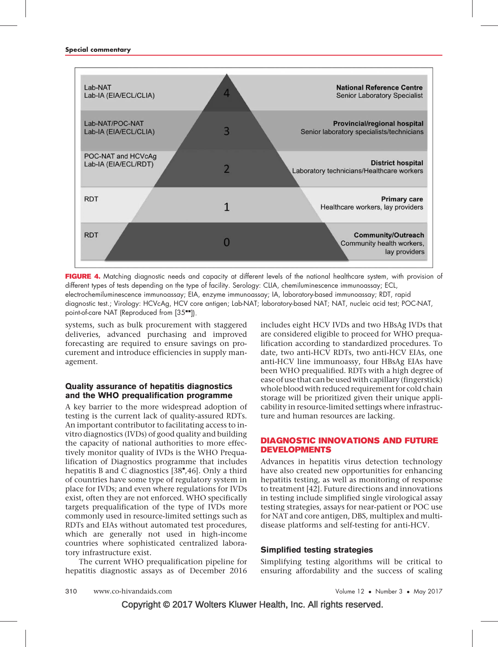

FIGURE 4. Matching diagnostic needs and capacity at different levels of the national healthcare system, with provision of different types of tests depending on the type of facility. Serology: CLIA, chemiluminescence immunoassay; ECL, electrochemiluminescence immunoassay; EIA, enzyme immunoassay; IA, laboratory-based immunoassay; RDT, rapid diagnostic test.; Virology: HCVcAg, HCV core antigen; Lab-NAT; laboratory-based NAT; NAT, nucleic acid test; POC-NAT, point-of-care NAT (Reproduced from [\[35](#page-11-0)<sup>--</sup>[\]\)](#page-11-0).

systems, such as bulk procurement with staggered deliveries, advanced purchasing and improved forecasting are required to ensure savings on procurement and introduce efficiencies in supply management.

#### Quality assurance of hepatitis diagnostics and the WHO prequalification programme

A key barrier to the more widespread adoption of testing is the current lack of quality-assured RDTs. An important contributor to facilitating access to invitro diagnostics (IVDs) of good quality and building the capacity of national authorities to more effectively monitor quality of IVDs is the WHO Prequalification of Diagnostics programme that includes hepatitis B and C diagnostics [\[38](#page-11-0)"[,46\].](#page-11-0) Only a third of countries have some type of regulatory system in place for IVDs; and even where regulations for IVDs exist, often they are not enforced. WHO specifically targets prequalification of the type of IVDs more commonly used in resource-limited settings such as RDTs and EIAs without automated test procedures, which are generally not used in high-income countries where sophisticated centralized laboratory infrastructure exist.

The current WHO prequalification pipeline for hepatitis diagnostic assays as of December 2016 includes eight HCV IVDs and two HBsAg IVDs that are considered eligible to proceed for WHO prequalification according to standardized procedures. To date, two anti-HCV RDTs, two anti-HCV EIAs, one anti-HCV line immunoassy, four HBsAg EIAs have been WHO prequalified. RDTs with a high degree of ease of use that can be used with capillary (fingerstick) whole blood with reduced requirement for cold chain storage will be prioritized given their unique applicability in resource-limited settings where infrastructure and human resources are lacking.

#### DIAGNOSTIC INNOVATIONS AND FUTURE DEVELOPMENTS

Advances in hepatitis virus detection technology have also created new opportunities for enhancing hepatitis testing, as well as monitoring of response to treatment [\[42\].](#page-11-0) Future directions and innovations in testing include simplified single virological assay testing strategies, assays for near-patient or POC use for NAT and core antigen, DBS, multiplex and multidisease platforms and self-testing for anti-HCV.

## Simplified testing strategies

Simplifying testing algorithms will be critical to ensuring affordability and the success of scaling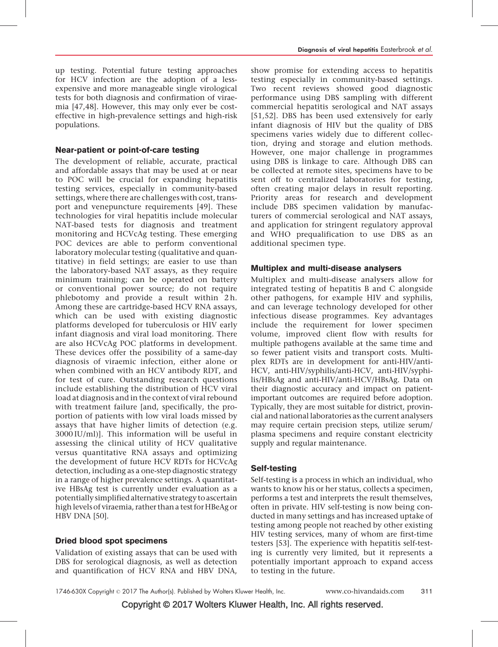up testing. Potential future testing approaches for HCV infection are the adoption of a lessexpensive and more manageable single virological tests for both diagnosis and confirmation of viraemia [\[47,48\].](#page-11-0) However, this may only ever be costeffective in high-prevalence settings and high-risk populations.

## Near-patient or point-of-care testing

The development of reliable, accurate, practical and affordable assays that may be used at or near to POC will be crucial for expanding hepatitis testing services, especially in community-based settings, where there are challenges with cost, transport and venepuncture requirements [\[49\]](#page-11-0). These technologies for viral hepatitis include molecular NAT-based tests for diagnosis and treatment monitoring and HCVcAg testing. These emerging POC devices are able to perform conventional laboratory molecular testing (qualitative and quantitative) in field settings; are easier to use than the laboratory-based NAT assays, as they require minimum training; can be operated on battery or conventional power source; do not require phlebotomy and provide a result within 2 h. Among these are cartridge-based HCV RNA assays, which can be used with existing diagnostic platforms developed for tuberculosis or HIV early infant diagnosis and viral load monitoring. There are also HCVcAg POC platforms in development. These devices offer the possibility of a same-day diagnosis of viraemic infection, either alone or when combined with an HCV antibody RDT, and for test of cure. Outstanding research questions include establishing the distribution of HCV viral load at diagnosis and in the context of viral rebound with treatment failure [and, specifically, the proportion of patients with low viral loads missed by assays that have higher limits of detection (e.g. 3000 IU/ml)]. This information will be useful in assessing the clinical utility of HCV qualitative versus quantitative RNA assays and optimizing the development of future HCV RDTs for HCVcAg detection, including as a one-step diagnostic strategy in a range of higher prevalence settings. A quantitative HBsAg test is currently under evaluation as a potentially simplified alternative strategy to ascertain high levels of viraemia, rather than a test for HBeAg or HBV DNA [\[50\]](#page-11-0).

#### Dried blood spot specimens

Validation of existing assays that can be used with DBS for serological diagnosis, as well as detection and quantification of HCV RNA and HBV DNA, show promise for extending access to hepatitis testing especially in community-based settings. Two recent reviews showed good diagnostic performance using DBS sampling with different commercial hepatitis serological and NAT assays [\[51,52\]](#page-11-0). DBS has been used extensively for early infant diagnosis of HIV but the quality of DBS specimens varies widely due to different collection, drying and storage and elution methods. However, one major challenge in programmes using DBS is linkage to care. Although DBS can be collected at remote sites, specimens have to be sent off to centralized laboratories for testing, often creating major delays in result reporting. Priority areas for research and development include DBS specimen validation by manufacturers of commercial serological and NAT assays, and application for stringent regulatory approval and WHO prequalification to use DBS as an additional specimen type.

#### Multiplex and multi-disease analysers

Multiplex and multi-disease analysers allow for integrated testing of hepatitis B and C alongside other pathogens, for example HIV and syphilis, and can leverage technology developed for other infectious disease programmes. Key advantages include the requirement for lower specimen volume, improved client flow with results for multiple pathogens available at the same time and so fewer patient visits and transport costs. Multiplex RDTs are in development for anti-HIV/anti-HCV, anti-HIV/syphilis/anti-HCV, anti-HIV/syphilis/HBsAg and anti-HIV/anti-HCV/HBsAg. Data on their diagnostic accuracy and impact on patientimportant outcomes are required before adoption. Typically, they are most suitable for district, provincial and national laboratories as the current analysers may require certain precision steps, utilize serum/ plasma specimens and require constant electricity supply and regular maintenance.

## Self-testing

Self-testing is a process in which an individual, who wants to know his or her status, collects a specimen, performs a test and interprets the result themselves, often in private. HIV self-testing is now being conducted in many settings and has increased uptake of testing among people not reached by other existing HIV testing services, many of whom are first-time testers [\[53\].](#page-12-0) The experience with hepatitis self-testing is currently very limited, but it represents a potentially important approach to expand access to testing in the future.

1746-630X Copyright © 2017 The Author(s). Published by Wolters Kluwer Health, Inc. www.co-hivandaids.com 311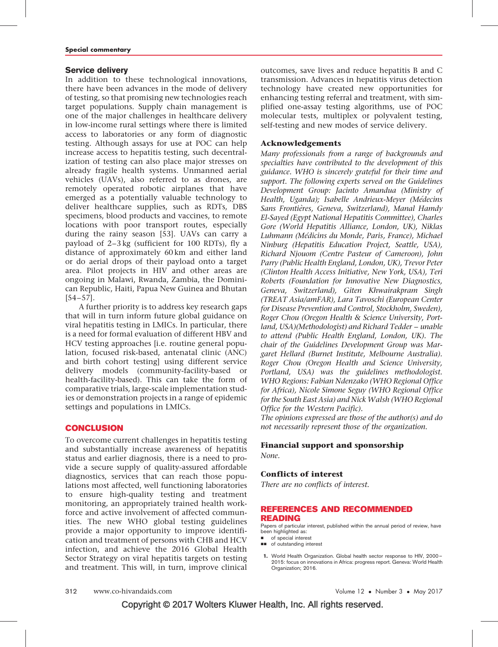#### <span id="page-10-0"></span>Service delivery

In addition to these technological innovations, there have been advances in the mode of delivery of testing, so that promising new technologies reach target populations. Supply chain management is one of the major challenges in healthcare delivery in low-income rural settings where there is limited access to laboratories or any form of diagnostic testing. Although assays for use at POC can help increase access to hepatitis testing, such decentralization of testing can also place major stresses on already fragile health systems. Unmanned aerial vehicles (UAVs), also referred to as drones, are remotely operated robotic airplanes that have emerged as a potentially valuable technology to deliver healthcare supplies, such as RDTs, DBS specimens, blood products and vaccines, to remote locations with poor transport routes, especially during the rainy season [\[53\]](#page-12-0). UAVs can carry a payload of 2–3 kg (sufficient for 100 RDTs), fly a distance of approximately 60 km and either land or do aerial drops of their payload onto a target area. Pilot projects in HIV and other areas are ongoing in Malawi, Rwanda, Zambia, the Dominican Republic, Haiti, Papua New Guinea and Bhutan [\[54–57\].](#page-12-0)

A further priority is to address key research gaps that will in turn inform future global guidance on viral hepatitis testing in LMICs. In particular, there is a need for formal evaluation of different HBV and HCV testing approaches [i.e. routine general population, focused risk-based, antenatal clinic (ANC) and birth cohort testing] using different service delivery models (community-facility-based or health-facility-based). This can take the form of comparative trials, large-scale implementation studies or demonstration projects in a range of epidemic settings and populations in LMICs.

#### **CONCLUSION**

To overcome current challenges in hepatitis testing and substantially increase awareness of hepatitis status and earlier diagnosis, there is a need to provide a secure supply of quality-assured affordable diagnostics, services that can reach those populations most affected, well functioning laboratories to ensure high-quality testing and treatment monitoring, an appropriately trained health workforce and active involvement of affected communities. The new WHO global testing guidelines provide a major opportunity to improve identification and treatment of persons with CHB and HCV infection, and achieve the 2016 Global Health Sector Strategy on viral hepatitis targets on testing and treatment. This will, in turn, improve clinical outcomes, save lives and reduce hepatitis B and C transmission. Advances in hepatitis virus detection technology have created new opportunities for enhancing testing referral and treatment, with simplified one-assay testing algorithms, use of POC molecular tests, multiplex or polyvalent testing, self-testing and new modes of service delivery.

#### Acknowledgements

Many professionals from a range of backgrounds and specialties have contributed to the development of this guidance. WHO is sincerely grateful for their time and support. The following experts served on the Guidelines Development Group: Jacinto Amandua (Ministry of Health, Uganda); Isabelle Andrieux-Meyer (Médecins Sans Frontières, Geneva, Switzerland), Manal Hamdy El-Sayed (Egypt National Hepatitis Committee), Charles Gore (World Hepatitis Alliance, London, UK), Niklas Luhmann (Me´dicins du Monde, Paris, France), Michael Ninburg (Hepatitis Education Project, Seattle, USA), Richard Njouom (Centre Pasteur of Cameroon), John Parry (Public Health England, London, UK), Trevor Peter (Clinton Health Access Initiative, New York, USA), Teri Roberts (Foundation for Innovative New Diagnostics, Geneva, Switzerland), Giten Khwairakpram Singh (TREAT Asia/amFAR), Lara Tavoschi (European Center for Disease Prevention and Control, Stockholm, Sweden), Roger Chou (Oregon Health & Science University, Portland, USA)(Methodologist) and Richard Tedder – unable to attend (Public Health England, London, UK). The chair of the Guidelines Development Group was Margaret Hellard (Burnet Institute, Melbourne Australia). Roger Chou (Oregon Health and Science University, Portland, USA) was the guidelines methodologist. WHO Regions: Fabian Ndenzako (WHO Regional Office for Africa), Nicole Simone Seguy (WHO Regional Office for the South East Asia) and Nick Walsh (WHO Regional Office for the Western Pacific).

The opinions expressed are those of the author(s) and do not necessarily represent those of the organization.

#### Financial support and sponsorship

None.

#### Conflicts of interest

There are no conflicts of interest.

#### REFERENCES AND RECOMMENDED READING

Papers of particular interest, published within the annual period of review, have been highlighted as:

- of special interest
- of outstanding interest
- 1. World Health Organization. Global health sector response to HIV, 2000– 2015: focus on innovations in Africa: progress report. Geneva: World Health Organization; 2016.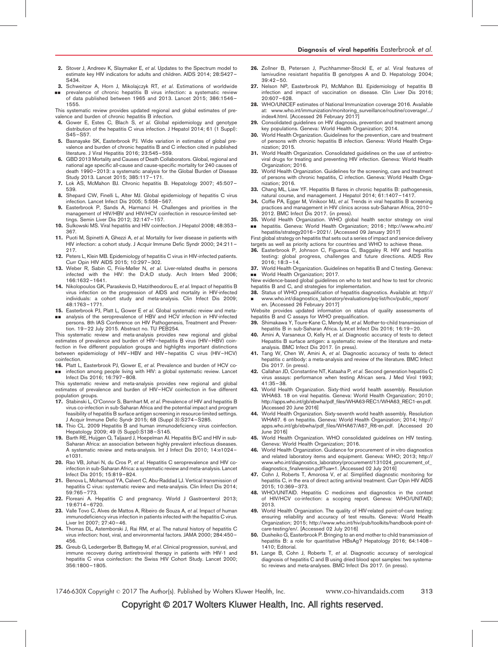- <span id="page-11-0"></span>2. Stover J, Andreev K, Slaymaker E, et al. Updates to the Spectrum model to estimate key HIV indicators for adults and children. AIDS 2014; 28:S427– S434.
- 3. Schweitzer A, Horn J, Mikolajczyk RT, et al. Estimations of worldwide prevalence of chronic hepatitis B virus infection: a systematic review && of data published between 1965 and 2013. Lancet 2015; 386:1546–

1555. This systematic review provides updated regional and global estimates of prevalence and burden of chronic hepatitis B infection.

- 4. Gower E, Estes C, Blach S, et al. Global epidemiology and genotype distribution of the hepatitis C virus infection. J Hepatol 2014; 61 (1 Suppl): S45–S57.
- 5. Basnayake SK, Easterbrook PJ. Wide variation in estimates of global prevalence and burden of chronic hepatitis B and C infection cited in published literature. J Viral Hepatitis 2016; 23:545–559.
- 6. GBD 2013 Mortality and Causes of Death Collaborators. Global, regional and national age specific all-cause and cause-specific mortality for 240 causes of death 1990–2013: a systematic analysis for the Global Burden of Disease Study 2013. Lancet 2015; 385:117–171.
- 7. Lok AS, McMahon BJ. Chronic hepatitis B. Hepatology 2007; 45:507– 539.
- 8. Shepard CW, Finelli L, Alter MJ. Global epidemiology of hepatitis C virus infection. Lancet Infect Dis 2005; 5:558–567.
- 9. Easterbrook P, Sands A, Harmanci H. Challenges and priorities in the management of HIV/HBV and HIV/HCV coinfection in resource-limited settings. Semin Liver Dis 2012; 32:147–157.
- 10. Sulkowski MS. Viral hepatitis and HIV coinfection. J Hepatol 2008; 48:353– 367.
- 11. Puoti M, Spinetti A, Ghezzi A, et al. Mortality for liver disease in patients with HIV infection: a cohort study. J Acquir Immune Defic Syndr 2000; 24:211– 217.
- 12. Peters L, Klein MB. Epidemiology of hepatitis C virus in HIV-infected patients. Curr Opin HIV AIDS 2015; 10:297–302.
- 13. Weber R, Sabin C, Friis-Møller N, et al. Liver-related deaths in persons infected with the HIV: the D:A:D study. Arch Intern Med 2006; 166:1632–1641.
- 14. Nikolopoulos GK, Paraskevis D, Hatzitheodorou E, et al. Impact of hepatitis B virus infection on the progression of AIDS and mortality in HIV-infected individuals: a cohort study and meta-analysis. Clin Infect Dis 2009; 48:1763–1771.
- 15. Easterbrook PJ, Platt L, Gower E et al. Global systematic review and meta-
- && analysis of the seroprevalence of HBV and HCV infection in HIV-infected persons. 8th IAS Conference on HIV Pathogenesis, Treatment and Prevention. 19–22 July 2015. Abstract no. TU PEB254.

This systematic review and meta-analysis provides new regional and global estimates of prevalence and burden of HIV–hepatitis B virus (HIV–HBV) coinfection in five different population groups and highlights important distinctions between epidemiology of HIV–HBV and HIV–hepatitis C virus (HIV–HCV) coinfection.

16. Platt L, Easterbrook PJ, Gower E, et al. Prevalence and burden of HCV co-&& infection among people living with HIV: a global systematic review. Lancet Infect Dis 2016; 16:797–808.

This systematic review and meta-analysis provides new regional and global estimates of prevalence and burden of HIV–HCV coinfection in five different population groups.

- 17. Stabinski L, O'Connor S, Barnhart M, et al. Prevalence of HIV and hepatitis B virus co-infection in sub-Saharan Africa and the potential impact and program feasibility of hepatitis B surface antigen screening in resource-limited settings. J Acquir Immune Defic Syndr 2015; 68 (Suppl 3):S274–S285.
- 18. Thio CL. 2009 Hepatitis B and human immunodeficiency virus coinfection. Hepatology 2009; 49 (5 Suppl):S138–S145.
- 19. Barth RE, Huijgen Q, Taljaard J, Hoepelman AI. Hepatitis B/C and HIV in sub-Saharan Africa: an association between highly prevalent infectious diseases. A systematic review and meta-analysis. Int J Infect Dis 2010; 14:e1024– e1031.
- 20. Rao VB, Johari N, du Cros P, et al. Hepatitis C seroprevalence and HIV coinfection in sub-Saharan Africa: a systematic review and meta-analysis. Lancet Infect Dis 2015; 15:819–824.
- 21. Benova L, Mohamoud YA, Calvert C, Abu-Raddad LJ. Vertical transmission of hepatitis C virus: systematic review and meta-analysis. Clin Infect Dis 2014; 59:765–773.
- 22. Floreani A. Hepatitis C and pregnancy. World J Gastroenterol 2013; 19:6714–6720.
- 23. Valle Tovo C, Alves de Mattos A, Ribeiro de Souza A, et al. Impact of human immunodeficiency virus infection in patients infected with the hepatitis C virus. Liver Int 2007; 27:40–46.
- 24. Thomas DL, Astemborski J, Rai RM, et al. The natural history of hepatitis C virus infection: host, viral, and environmental factors. JAMA 2000; 284:450– 456.
- 25. Greub G, Ledergerber B, Battegay M, et al. Clinical progression, survival, and immune recovery during antiretroviral therapy in patients with HIV-1 and hepatitis C virus coinfection: the Swiss HIV Cohort Study. Lancet 2000; 356:1800–1805.
- 26. Zollner B, Petersen J, Puchhammer-Stockl E, et al. Viral features of lamivudine resistant hepatitis B genotypes A and D. Hepatology 2004; 39:42–50.
- 27. Nelson NP, Easterbrook PJ, McMahon BJ. Epidemiology of hepatitis B infection and impact of vaccination on disease. Clin Liver Dis 2016; 20:607–628.
- WHO/UNICEF estimates of National Immunization coverage 2016. Available at: [www.who.int/immunization/monitoring\\_surveillance/routine/coverage/.../](http://www.who.int/immunization/monitoring_surveillance/routine/coverage/.../index4.html) [index4.html.](http://www.who.int/immunization/monitoring_surveillance/routine/coverage/.../index4.html) [Accessed 26 February 2017]
- key populations. Geneva: World Health Organization; 2014.
- of persons with chronic hepatitis B infection. Geneva: World Health Organization; 2015.
- viral drugs for treating and preventing HIV infection. Geneva: World Health Organization; 2016.
- of persons with chronic hepatitis, C infection. Geneva: World Health Organization; 2016.
- 33. Chang ML, Liaw YF. Hepatitis B flares in chronic hepatitis B: pathogenesis, natural course, and management. J Hepatol 2014; 61:1407–1417.
- practices and management in HIV clinics across sub-Saharan Africa, 2010– 2012. BMC Infect Dis 2017. (in press).
- && hepatitis. Geneva: World Health Organization; 2016 ; [http://www.who.int/](http://www.who.int/hepatitis/strategy2016-2021/)

New evidence-based global guidelines on who to test and how to test for chronic hepatitis B and C, and strategies for implementation.

38. Status of WHO prequalification of hepatitis diagnostics. Available at: [http://](http://www.who.int/diagnostics_laboratory/evaluations/pq-list/hcv/public_report/en) & [www.who.int/diagnostics\\_laboratory/evaluations/pq-list/hcv/public\\_report/](http://www.who.int/diagnostics_laboratory/evaluations/pq-list/hcv/public_report/en) [en](http://www.who.int/diagnostics_laboratory/evaluations/pq-list/hcv/public_report/en). [Accessed 26 February 2017]

Website provides updated information on status of quality assessments of hepatitis B and C assays for WHO prequalification.

- 39. Shimakawa Y, Toure-Kane C, Mendy M, et al. Mother-to-child transmission of hepatitis B in sub-Saharan Africa. Lancet Infect Dis 2016; 16:19–20.
- 40. Amini A, Varsaneux O, Kelly H, et al. Diagnostic accuracy of tests to detect Hepatitis B surface antigen: a systematic review of the literature and metaanalysis. BMC Infect Dis 2017. (in press).
- 41. Tang W, Chen W, Amini A, et al. Diagnostic accuracy of tests to detect hepatitis c antibody: a meta-analysis and review of the literature. BMC Infect Dis 2017. (in press).
- 42. Callahan JD, Constantine NT, Kataaha P, et al. Second generation hepatitis C virus assays: performance when testing African sera. J Med Virol 1993; 41:35–38.
- 43. World Health Organization. Sixty-third world health assembly. Resolution WHA63. 18 on viral hepatitis. Geneva: World Health Organization; 2010; [http://apps.who.int/gb/ebwha/pdf\\_files/WHA63-REC1/WHA63\\_REC1-en.pdf.](http://apps.who.int/gb/ebwha/pdf_files/WHA63-REC1/WHA63_REC1-en.pdf) [Accessed 20 June 2016]
- 44. World Health Organization. Sixty-seventh world health assembly. Resolution WHA67. 6 on hepatitis. Geneva: World Health Organization; 2014; [http://](http://apps.who.int/gb/ebwha/pdf_files/WHA67/A67_R6-en.pdf) [apps.who.int/gb/ebwha/pdf\\_files/WHA67/A67\\_R6-en.pdf](http://apps.who.int/gb/ebwha/pdf_files/WHA67/A67_R6-en.pdf). [Accessed 20 June 2016]
- 45. World Health Organization. WHO consolidated guidelines on HIV testing. Geneva: World Health Organization; 2016.
- 46. World Health Organization. Guidance for procurement of in vitro diagnostics and related laboratory items and equipment. Geneva: WHO; 2013; [http://](http://www.who.int/diagnostics_laboratory/procurement/131024_procurement_of_diagnostics_finalversion.pdf?ua=1) [www.who.int/diagnostics\\_laboratory/procurement/131024\\_procurement\\_of\\_](http://www.who.int/diagnostics_laboratory/procurement/131024_procurement_of_diagnostics_finalversion.pdf?ua=1) [diagnostics\\_finalversion.pdf?ua=1.](http://www.who.int/diagnostics_laboratory/procurement/131024_procurement_of_diagnostics_finalversion.pdf?ua=1) [Accessed 02 July 2016]
- 47. Cohn J, Roberts T, Amorosa V, et al. Simplified diagnostic monitoring for hepatitis C, in the era of direct acting antiviral treatment. Curr Opin HIV AIDS 2015; 10:369–373.
- 48. WHO/UNITAID. Hepatitis C medicines and diagnostics in the context of HIV/HCV co-infection: a scoping report. Geneva: WHO/UNITAID; 2013.
- 49. World Health Organization. The quality of HIV-related point-of-care testing: ensuring reliability and accuracy of test results. Geneva: World Health Organization; 2015; [http://www.who.int/hiv/pub/toolkits/handbook-point-of](http://www.who.int/hiv/pub/toolkits/handbook-point-of-care-testing/en/)[care-testing/en/.](http://www.who.int/hiv/pub/toolkits/handbook-point-of-care-testing/en/) [Accessed 02 July 2016]
- 50. Dusheiko G, Easterbrook P. Bringing to an end mother to child transmission of hepatitis B: a role for quantitative HBsAg? Hepatology 2016; 64:1408– 1410; Editorial.
- 51. Lange B, Cohn J, Roberts T, et al. Diagnostic accuracy of serological diagnosis of hepatitis C and B using dried blood spot samples: two systematic reviews and meta-analyses. BMC Infect Dis 2017. (in press).

29. Consolidated guidelines on HIV diagnosis, prevention and treatment among

- 30. World Health Organization. Guidelines for the prevention, care and treatment
- 31. World Health Organization. Consolidated quidelines on the use of antiretro-
- 32. World Health Organization. Guidelines for the screening, care and treatment
- 
- 34. Coffie PA, Egger M, Vinikoor MJ, et al. Trends in viral hepatitis B screening
- 35. World Health Organization. WHO global health sector strategy on viral [hepatitis/strategy2016–2021/](http://www.who.int/hepatitis/strategy2016-2021/). [Accessed 09 January 2017]

First global strategy on hepatitis that sets out a series of impact and service delivery targets as well as priority actions for countries and WHO to achieve these

- 36. Easterbrook P, Johnson C, Figueroa C, Baggaley R. HIV and hepatitis testing: global progress, challenges and future directions. AIDS Rev 2016; 18:3–14.
- 37. && World Health Organization. Guidelines on hepatitis B and C testing. Geneva: World Health Organization; 2017.

# Copyright © 2017 Wolters Kluwer Health, Inc. All rights reserved.